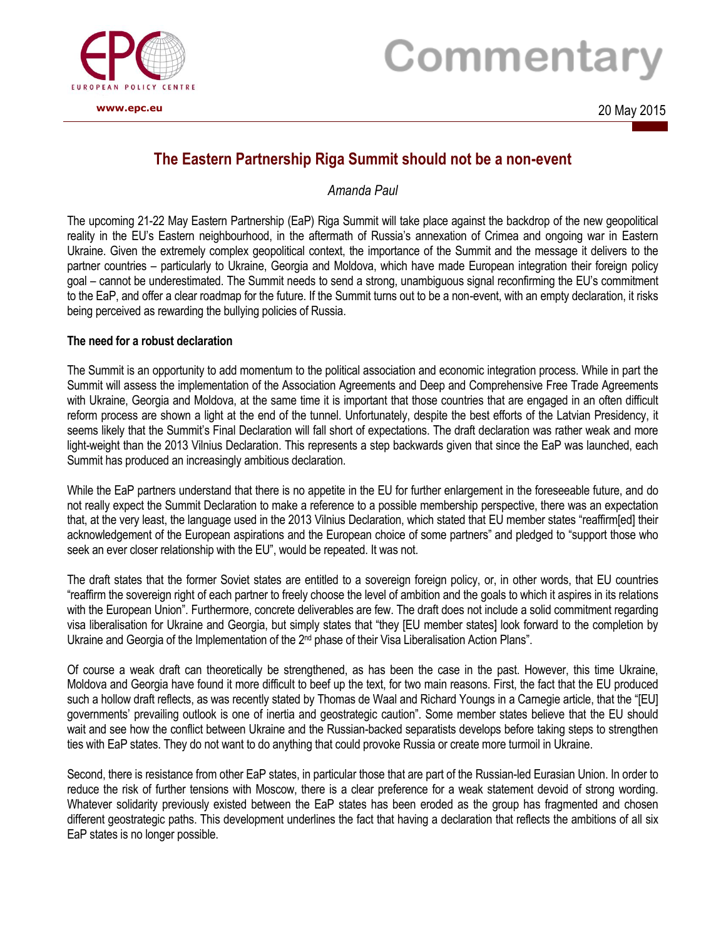

## Commentary

## **The Eastern Partnership Riga Summit should not be a non-event**

*Amanda Paul*

The upcoming 21-22 May Eastern Partnership (EaP) Riga Summit will take place against the backdrop of the new geopolitical reality in the EU's Eastern neighbourhood, in the aftermath of Russia's annexation of Crimea and ongoing war in Eastern Ukraine. Given the extremely complex geopolitical context, the importance of the Summit and the message it delivers to the partner countries – particularly to Ukraine, Georgia and Moldova, which have made European integration their foreign policy goal – cannot be underestimated. The Summit needs to send a strong, unambiguous signal reconfirming the EU's commitment to the EaP, and offer a clear roadmap for the future. If the Summit turns out to be a non-event, with an empty declaration, it risks being perceived as rewarding the bullying policies of Russia.

## **The need for a robust declaration**

The Summit is an opportunity to add momentum to the political association and economic integration process. While in part the Summit will assess the implementation of the Association Agreements and Deep and Comprehensive Free Trade Agreements with Ukraine, Georgia and Moldova, at the same time it is important that those countries that are engaged in an often difficult reform process are shown a light at the end of the tunnel. Unfortunately, despite the best efforts of the Latvian Presidency, it seems likely that the Summit's Final Declaration will fall short of expectations. The draft declaration was rather weak and more light-weight than the 2013 Vilnius Declaration. This represents a step backwards given that since the EaP was launched, each Summit has produced an increasingly ambitious declaration.

While the EaP partners understand that there is no appetite in the EU for further enlargement in the foreseeable future, and do not really expect the Summit Declaration to make a reference to a possible membership perspective, there was an expectation that, at the very least, the language used in the 2013 Vilnius Declaration, which stated that EU member states "reaffirm[ed] their acknowledgement of the European aspirations and the European choice of some partners" and pledged to "support those who seek an ever closer relationship with the EU", would be repeated. It was not.

The draft states that the former Soviet states are entitled to a sovereign foreign policy, or, in other words, that EU countries "reaffirm the sovereign right of each partner to freely choose the level of ambition and the goals to which it aspires in its relations with the European Union". Furthermore, concrete deliverables are few. The draft does not include a solid commitment regarding visa liberalisation for Ukraine and Georgia, but simply states that "they [EU member states] look forward to the completion by Ukraine and Georgia of the Implementation of the 2<sup>nd</sup> phase of their Visa Liberalisation Action Plans".

Of course a weak draft can theoretically be strengthened, as has been the case in the past. However, this time Ukraine, Moldova and Georgia have found it more difficult to beef up the text, for two main reasons. First, the fact that the EU produced such a hollow draft reflects, as was recently stated by Thomas de Waal and Richard Youngs in a Carnegie article, that the "[EU] governments' prevailing outlook is one of inertia and geostrategic caution". Some member states believe that the EU should wait and see how the conflict between Ukraine and the Russian-backed separatists develops before taking steps to strengthen ties with EaP states. They do not want to do anything that could provoke Russia or create more turmoil in Ukraine.

Second, there is resistance from other EaP states, in particular those that are part of the Russian-led Eurasian Union. In order to reduce the risk of further tensions with Moscow, there is a clear preference for a weak statement devoid of strong wording. Whatever solidarity previously existed between the EaP states has been eroded as the group has fragmented and chosen different geostrategic paths. This development underlines the fact that having a declaration that reflects the ambitions of all six EaP states is no longer possible.